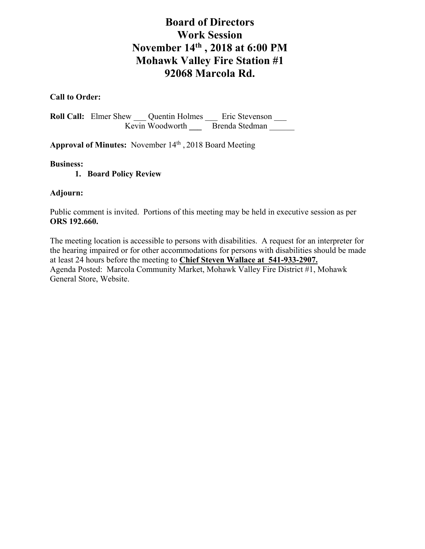# **Board of Directors Work Session November 14th , 2018 at 6:00 PM Mohawk Valley Fire Station #1 92068 Marcola Rd.**

# **Call to Order:**

**Roll Call:** Elmer Shew \_\_\_ Quentin Holmes \_\_\_ Eric Stevenson \_\_\_ Kevin Woodworth **Brenda Stedman** 

Approval of Minutes: November 14<sup>th</sup>, 2018 Board Meeting

#### **Business:**

## **1. Board Policy Review**

## **Adjourn:**

Public comment is invited. Portions of this meeting may be held in executive session as per **ORS 192.660.**

The meeting location is accessible to persons with disabilities. A request for an interpreter for the hearing impaired or for other accommodations for persons with disabilities should be made at least 24 hours before the meeting to **Chief Steven Wallace at 541-933-2907.** Agenda Posted: Marcola Community Market, Mohawk Valley Fire District #1, Mohawk General Store, Website.